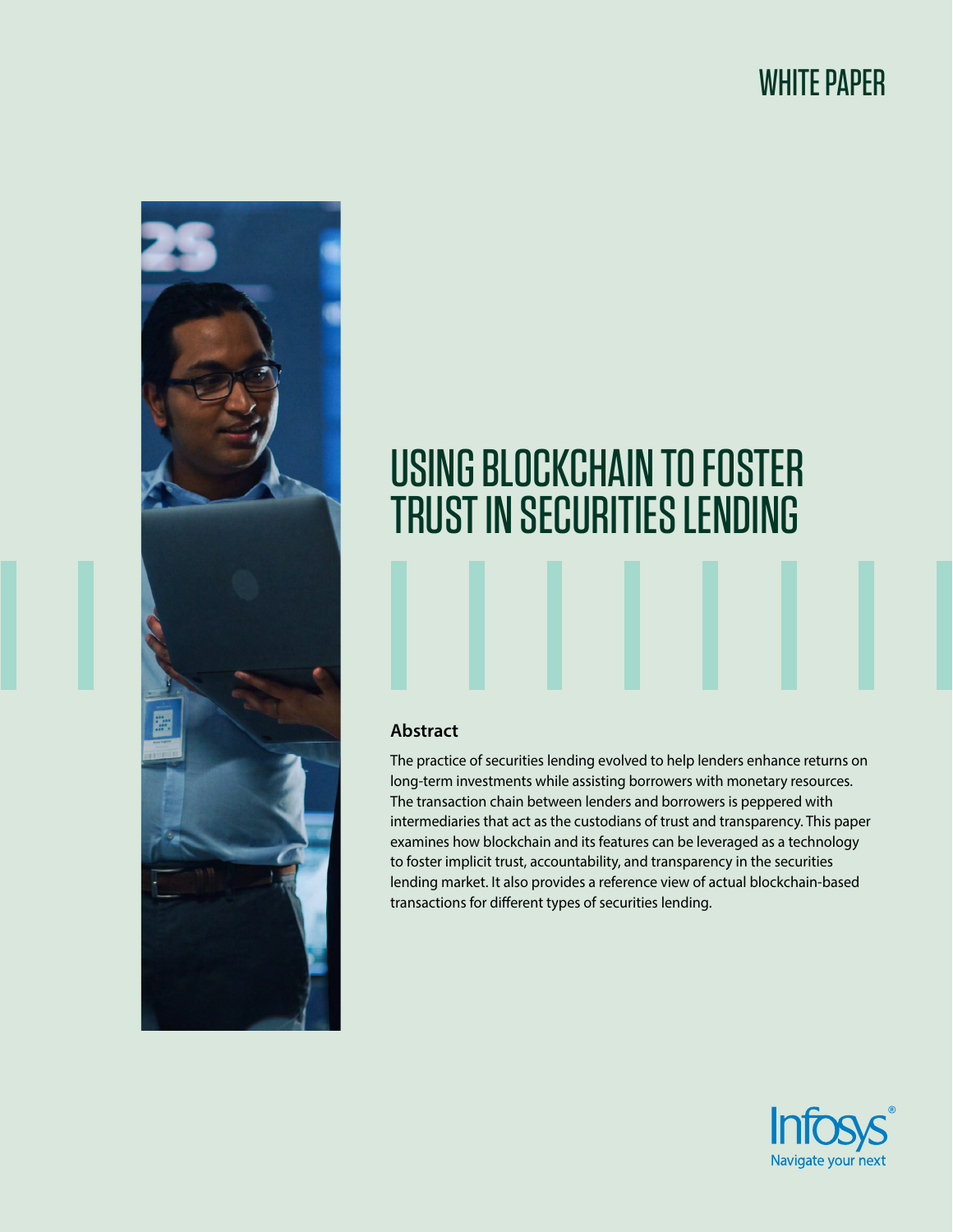# WHITE PAPER



# USING BLOCKCHAIN TO FOSTER TRUST IN SECURITIES LENDING

#### **Abstract**

The practice of securities lending evolved to help lenders enhance returns on long-term investments while assisting borrowers with monetary resources. The transaction chain between lenders and borrowers is peppered with intermediaries that act as the custodians of trust and transparency. This paper examines how blockchain and its features can be leveraged as a technology to foster implicit trust, accountability, and transparency in the securities lending market. It also provides a reference view of actual blockchain-based transactions for different types of securities lending.

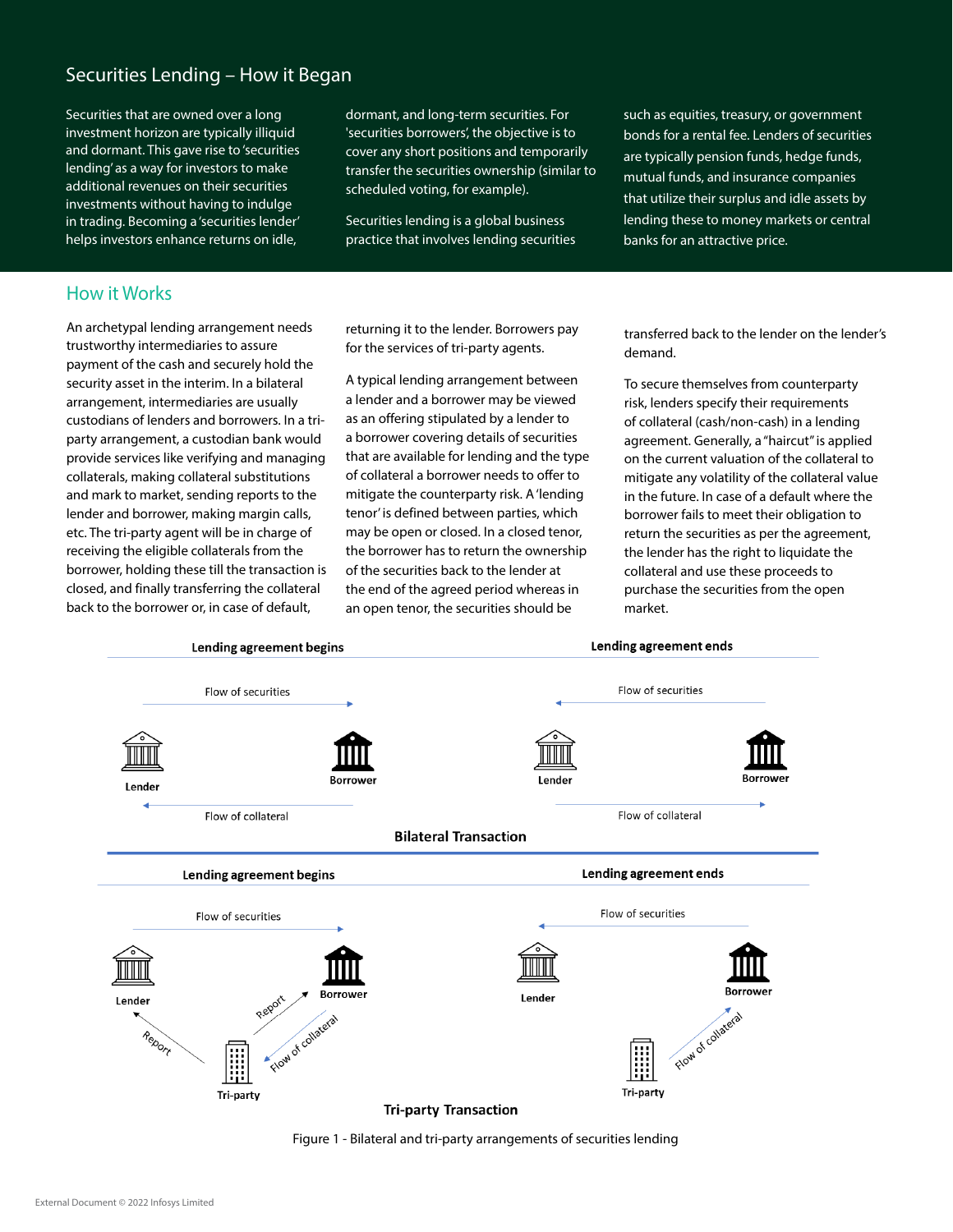## Securities Lending – How it Began

Securities that are owned over a long investment horizon are typically illiquid and dormant. This gave rise to 'securities lending' as a way for investors to make additional revenues on their securities investments without having to indulge in trading. Becoming a 'securities lender' helps investors enhance returns on idle,

dormant, and long-term securities. For 'securities borrowers', the objective is to cover any short positions and temporarily transfer the securities ownership (similar to scheduled voting, for example).

Securities lending is a global business practice that involves lending securities

such as equities, treasury, or government bonds for a rental fee. Lenders of securities are typically pension funds, hedge funds, mutual funds, and insurance companies that utilize their surplus and idle assets by lending these to money markets or central banks for an attractive price.

#### How it Works

An archetypal lending arrangement needs trustworthy intermediaries to assure payment of the cash and securely hold the security asset in the interim. In a bilateral arrangement, intermediaries are usually custodians of lenders and borrowers. In a triparty arrangement, a custodian bank would provide services like verifying and managing collaterals, making collateral substitutions and mark to market, sending reports to the lender and borrower, making margin calls, etc. The tri-party agent will be in charge of receiving the eligible collaterals from the borrower, holding these till the transaction is closed, and finally transferring the collateral back to the borrower or, in case of default,

returning it to the lender. Borrowers pay for the services of tri-party agents.

A typical lending arrangement between a lender and a borrower may be viewed as an offering stipulated by a lender to a borrower covering details of securities that are available for lending and the type of collateral a borrower needs to offer to mitigate the counterparty risk. A 'lending tenor' is defined between parties, which may be open or closed. In a closed tenor, the borrower has to return the ownership of the securities back to the lender at the end of the agreed period whereas in an open tenor, the securities should be

transferred back to the lender on the lender's demand.

To secure themselves from counterparty risk, lenders specify their requirements of collateral (cash/non-cash) in a lending agreement. Generally, a "haircut" is applied on the current valuation of the collateral to mitigate any volatility of the collateral value in the future. In case of a default where the borrower fails to meet their obligation to return the securities as per the agreement, the lender has the right to liquidate the collateral and use these proceeds to purchase the securities from the open market.



Figure 1 - Bilateral and tri-party arrangements of securities lending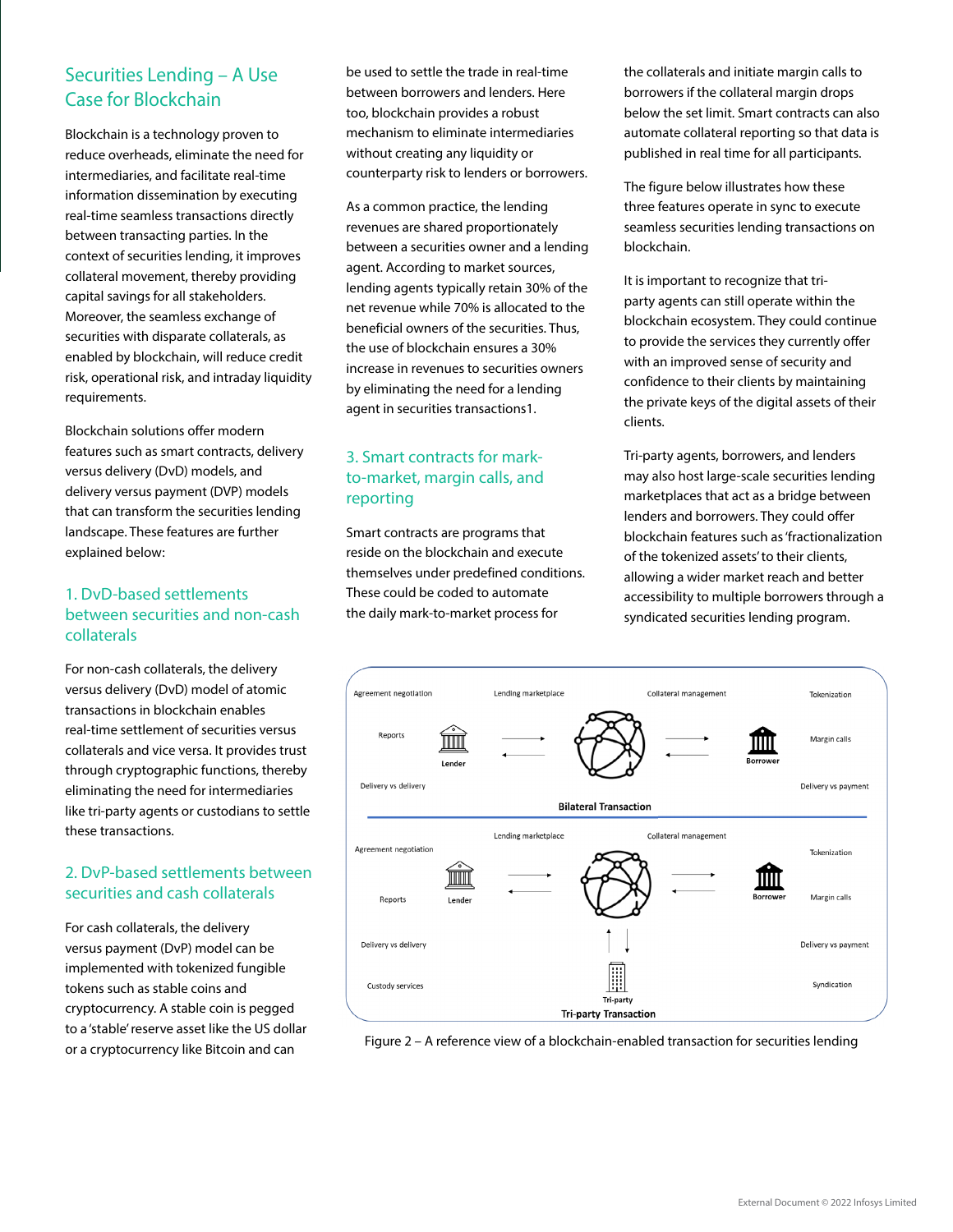## Securities Lending – A Use Case for Blockchain

Blockchain is a technology proven to reduce overheads, eliminate the need for intermediaries, and facilitate real-time information dissemination by executing real-time seamless transactions directly between transacting parties. In the context of securities lending, it improves collateral movement, thereby providing capital savings for all stakeholders. Moreover, the seamless exchange of securities with disparate collaterals, as enabled by blockchain, will reduce credit risk, operational risk, and intraday liquidity requirements.

Blockchain solutions offer modern features such as smart contracts, delivery versus delivery (DvD) models, and delivery versus payment (DVP) models that can transform the securities lending landscape. These features are further explained below:

#### 1. DvD-based settlements between securities and non-cash collaterals

For non-cash collaterals, the delivery versus delivery (DvD) model of atomic transactions in blockchain enables real-time settlement of securities versus collaterals and vice versa. It provides trust through cryptographic functions, thereby eliminating the need for intermediaries like tri-party agents or custodians to settle these transactions.

#### 2. DvP-based settlements between securities and cash collaterals

For cash collaterals, the delivery versus payment (DvP) model can be implemented with tokenized fungible tokens such as stable coins and cryptocurrency. A stable coin is pegged to a 'stable' reserve asset like the US dollar or a cryptocurrency like Bitcoin and can

be used to settle the trade in real-time between borrowers and lenders. Here too, blockchain provides a robust mechanism to eliminate intermediaries without creating any liquidity or counterparty risk to lenders or borrowers.

As a common practice, the lending revenues are shared proportionately between a securities owner and a lending agent. According to market sources, lending agents typically retain 30% of the net revenue while 70% is allocated to the beneficial owners of the securities. Thus, the use of blockchain ensures a 30% increase in revenues to securities owners by eliminating the need for a lending agent in securities transactions1.

#### 3. Smart contracts for markto-market, margin calls, and reporting

Smart contracts are programs that reside on the blockchain and execute themselves under predefined conditions. These could be coded to automate the daily mark-to-market process for

the collaterals and initiate margin calls to borrowers if the collateral margin drops below the set limit. Smart contracts can also automate collateral reporting so that data is published in real time for all participants.

The figure below illustrates how these three features operate in sync to execute seamless securities lending transactions on blockchain.

It is important to recognize that triparty agents can still operate within the blockchain ecosystem. They could continue to provide the services they currently offer with an improved sense of security and confidence to their clients by maintaining the private keys of the digital assets of their clients.

Tri-party agents, borrowers, and lenders may also host large-scale securities lending marketplaces that act as a bridge between lenders and borrowers. They could offer blockchain features such as 'fractionalization of the tokenized assets' to their clients, allowing a wider market reach and better accessibility to multiple borrowers through a syndicated securities lending program.



Figure 2 – A reference view of a blockchain-enabled transaction for securities lending